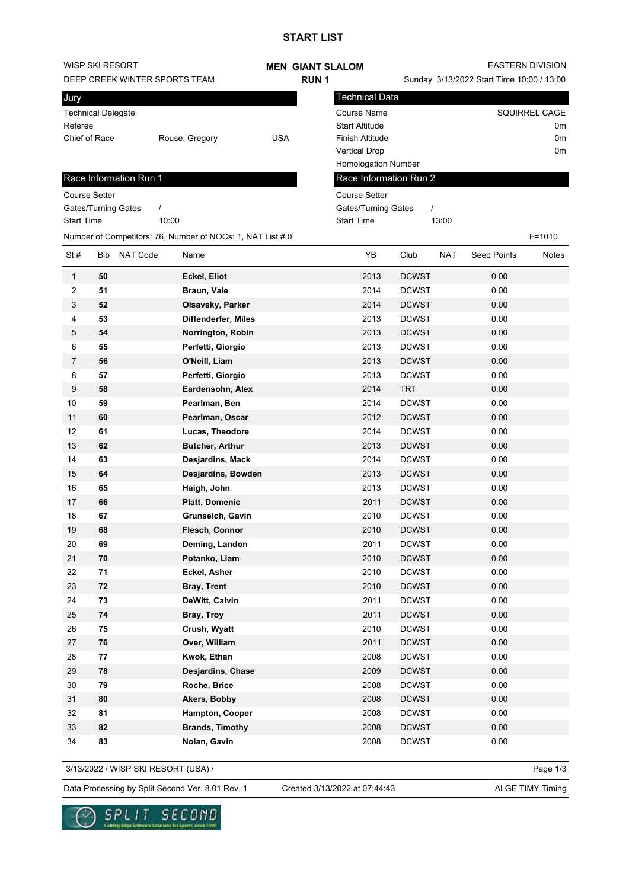## **START LIST**

| WISP SKI RESORT               |            |                        | <b>MEN GIANT SLALOM</b>                                    |             |  | <b>EASTERN DIVISION</b>                   |              |            |                    |               |
|-------------------------------|------------|------------------------|------------------------------------------------------------|-------------|--|-------------------------------------------|--------------|------------|--------------------|---------------|
| DEEP CREEK WINTER SPORTS TEAM |            |                        |                                                            | <b>RUN1</b> |  | Sunday 3/13/2022 Start Time 10:00 / 13:00 |              |            |                    |               |
| Jury                          |            |                        |                                                            |             |  | <b>Technical Data</b>                     |              |            |                    |               |
| <b>Technical Delegate</b>     |            |                        |                                                            |             |  | <b>Course Name</b>                        |              |            |                    | SQUIRREL CAGE |
| Referee                       |            |                        |                                                            |             |  | <b>Start Altitude</b>                     |              |            |                    | 0m            |
| Chief of Race                 |            |                        | Rouse, Gregory                                             | <b>USA</b>  |  | <b>Finish Altitude</b>                    |              |            |                    | 0m            |
|                               |            |                        |                                                            |             |  | <b>Vertical Drop</b>                      |              |            |                    | 0m            |
|                               |            |                        |                                                            |             |  | <b>Homologation Number</b>                |              |            |                    |               |
|                               |            | Race Information Run 1 |                                                            |             |  | Race Information Run 2                    |              |            |                    |               |
| <b>Course Setter</b>          |            |                        |                                                            |             |  | <b>Course Setter</b>                      |              |            |                    |               |
| Gates/Turning Gates           |            | $\prime$               |                                                            |             |  | Gates/Turning Gates                       | $\prime$     |            |                    |               |
| <b>Start Time</b>             |            | 10:00                  |                                                            |             |  | <b>Start Time</b>                         |              | 13:00      |                    |               |
|                               |            |                        | Number of Competitors: 76, Number of NOCs: 1, NAT List # 0 |             |  |                                           |              |            |                    | $F = 1010$    |
| St#                           | Bib        | <b>NAT Code</b>        | Name                                                       |             |  | YB                                        | Club         | <b>NAT</b> | <b>Seed Points</b> | Notes         |
| $\mathbf{1}$                  | 50         |                        | Eckel, Eliot                                               |             |  | 2013                                      | <b>DCWST</b> |            | 0.00               |               |
| 2                             | 51         |                        | Braun, Vale                                                |             |  | 2014                                      | <b>DCWST</b> |            | 0.00               |               |
| 3                             | 52         |                        | Olsavsky, Parker                                           |             |  | 2014                                      | <b>DCWST</b> |            | 0.00               |               |
| 4                             | 53         |                        | <b>Diffenderfer, Miles</b>                                 |             |  | 2013                                      | <b>DCWST</b> |            | 0.00               |               |
| 5                             | 54         |                        | Norrington, Robin                                          |             |  | 2013                                      | <b>DCWST</b> |            | 0.00               |               |
| 6                             | 55         |                        | Perfetti, Giorgio                                          |             |  | 2013                                      | <b>DCWST</b> |            | 0.00               |               |
| 7                             | 56         |                        | O'Neill, Liam                                              |             |  | 2013                                      | <b>DCWST</b> |            | 0.00               |               |
| 8                             | 57         |                        | Perfetti, Giorgio                                          |             |  | 2013                                      | <b>DCWST</b> |            | 0.00               |               |
| 9                             | 58         |                        | Eardensohn, Alex                                           |             |  | 2014                                      | <b>TRT</b>   |            | 0.00               |               |
| 10                            | 59         |                        | Pearlman, Ben                                              |             |  | 2014                                      | <b>DCWST</b> |            | 0.00               |               |
| 11                            | 60         |                        | Pearlman, Oscar                                            |             |  | 2012                                      | <b>DCWST</b> |            | 0.00               |               |
| 12                            | 61         |                        | Lucas, Theodore                                            |             |  | 2014                                      | <b>DCWST</b> |            | 0.00               |               |
| 13                            | 62         |                        | <b>Butcher, Arthur</b>                                     |             |  | 2013                                      | <b>DCWST</b> |            | 0.00               |               |
| 14                            | 63         |                        | Desjardins, Mack                                           |             |  | 2014                                      | <b>DCWST</b> |            | 0.00               |               |
| 15                            | 64         |                        | Desjardins, Bowden                                         |             |  | 2013                                      | <b>DCWST</b> |            | 0.00               |               |
| 16                            | 65         |                        | Haigh, John                                                |             |  | 2013                                      | <b>DCWST</b> |            | 0.00               |               |
| 17                            | 66         |                        | Platt, Domenic                                             |             |  | 2011                                      | <b>DCWST</b> |            | 0.00               |               |
| 18                            | 67         |                        | Grunseich, Gavin                                           |             |  | 2010                                      | <b>DCWST</b> |            | 0.00               |               |
| 19                            | 68         |                        | Flesch, Connor                                             |             |  | 2010                                      | <b>DCWST</b> |            | 0.00               |               |
| 20                            | 69         |                        | Deming, Landon                                             |             |  | 2011                                      | <b>DCWST</b> |            | 0.00               |               |
| 21                            | ${\bf 70}$ |                        | Potanko, Liam                                              |             |  | 2010                                      | <b>DCWST</b> |            | 0.00               |               |
| 22                            | 71         |                        | Eckel, Asher                                               |             |  | 2010                                      | <b>DCWST</b> |            | 0.00               |               |
| 23                            | ${\bf 72}$ |                        | <b>Bray, Trent</b>                                         |             |  | 2010                                      | <b>DCWST</b> |            | 0.00               |               |
| 24                            | 73         |                        | DeWitt, Calvin                                             |             |  | 2011                                      | <b>DCWST</b> |            | 0.00               |               |
| 25                            | ${\bf 74}$ |                        | Bray, Troy                                                 |             |  | 2011                                      | <b>DCWST</b> |            | 0.00               |               |
| 26                            | 75         |                        | Crush, Wyatt                                               |             |  | 2010                                      | <b>DCWST</b> |            | 0.00               |               |
| 27                            | ${\bf 76}$ |                        | Over, William                                              |             |  | 2011                                      | <b>DCWST</b> |            | 0.00               |               |
| 28                            | 77         |                        | Kwok, Ethan                                                |             |  | 2008                                      | <b>DCWST</b> |            | 0.00               |               |
| 29                            | 78         |                        | Desjardins, Chase                                          |             |  | 2009                                      | <b>DCWST</b> |            | 0.00               |               |
| 30                            | 79         |                        | Roche, Brice                                               |             |  | 2008                                      | <b>DCWST</b> |            | 0.00               |               |
| 31                            | 80         |                        | Akers, Bobby                                               |             |  | 2008                                      | <b>DCWST</b> |            | 0.00               |               |
| 32                            | 81         |                        | Hampton, Cooper                                            |             |  | 2008                                      | <b>DCWST</b> |            | 0.00               |               |
| 33                            | 82         |                        | <b>Brands, Timothy</b>                                     |             |  | 2008                                      | <b>DCWST</b> |            | 0.00               |               |
| 34                            | 83         |                        | Nolan, Gavin                                               |             |  | 2008                                      | <b>DCWST</b> |            | 0.00               |               |

3/13/2022 / WISP SKI RESORT (USA) /

Page 1/3

Data Processing by Split Second Ver. 8.01 Rev. 1 Created 3/13/2022 at 07:44:43 ALGE TIMY Timing

Created 3/13/2022 at 07:44:43

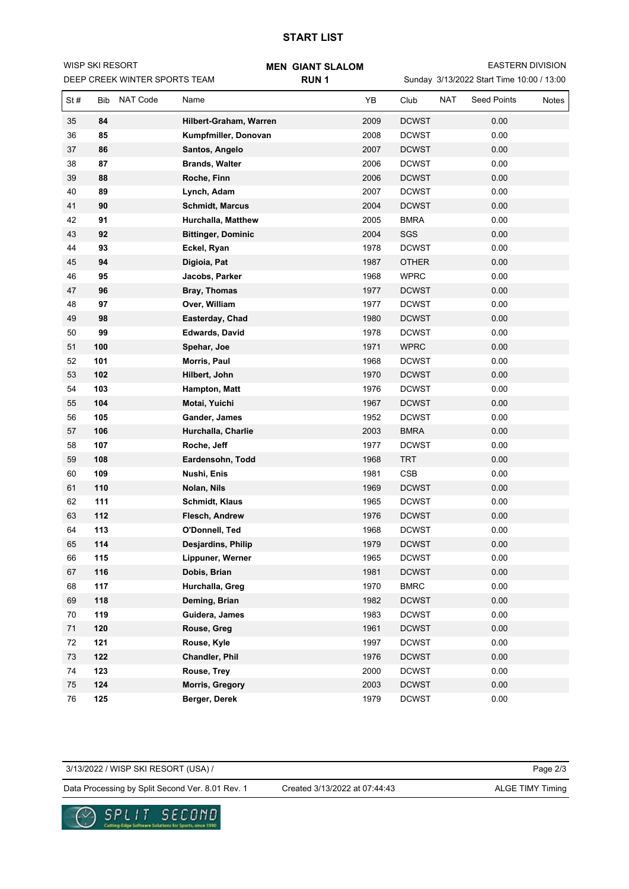## **START LIST**

**MEN GIANT SLALOM**

Sunday 3/13/2022 Start Time 10:00 / 13:00 EASTERN DIVISION

| DEEP CREEK WINTER SPORTS TEAM |            |                 |                           | RUN <sub>1</sub> |      | Sunday 3/13/2022 Start Time 10:00 / 13:00 |            |                    |       |  |
|-------------------------------|------------|-----------------|---------------------------|------------------|------|-------------------------------------------|------------|--------------------|-------|--|
| St#                           | <b>Bib</b> | <b>NAT Code</b> | Name                      |                  | YB   | Club                                      | <b>NAT</b> | <b>Seed Points</b> | Notes |  |
| 35                            | 84         |                 | Hilbert-Graham, Warren    |                  | 2009 | <b>DCWST</b>                              |            | 0.00               |       |  |
| 36                            | 85         |                 | Kumpfmiller, Donovan      |                  | 2008 | <b>DCWST</b>                              |            | 0.00               |       |  |
| 37                            | 86         |                 | Santos, Angelo            |                  | 2007 | <b>DCWST</b>                              |            | 0.00               |       |  |
| 38                            | 87         |                 | <b>Brands, Walter</b>     |                  | 2006 | <b>DCWST</b>                              |            | 0.00               |       |  |
| 39                            | 88         |                 | Roche, Finn               |                  | 2006 | <b>DCWST</b>                              |            | 0.00               |       |  |
| 40                            | 89         |                 | Lynch, Adam               |                  | 2007 | <b>DCWST</b>                              |            | 0.00               |       |  |
| 41                            | 90         |                 | <b>Schmidt, Marcus</b>    |                  | 2004 | <b>DCWST</b>                              |            | 0.00               |       |  |
| 42                            | 91         |                 | Hurchalla, Matthew        |                  | 2005 | <b>BMRA</b>                               |            | 0.00               |       |  |
| 43                            | 92         |                 | <b>Bittinger, Dominic</b> |                  | 2004 | SGS                                       |            | 0.00               |       |  |
| 44                            | 93         |                 | Eckel, Ryan               |                  | 1978 | <b>DCWST</b>                              |            | 0.00               |       |  |
| 45                            | 94         |                 | Digioia, Pat              |                  | 1987 | <b>OTHER</b>                              |            | 0.00               |       |  |
| 46                            | 95         |                 | Jacobs, Parker            |                  | 1968 | <b>WPRC</b>                               |            | 0.00               |       |  |
| 47                            | 96         |                 | Bray, Thomas              |                  | 1977 | <b>DCWST</b>                              |            | 0.00               |       |  |
| 48                            | 97         |                 | Over, William             |                  | 1977 | <b>DCWST</b>                              |            | 0.00               |       |  |
| 49                            | 98         |                 | Easterday, Chad           |                  | 1980 | <b>DCWST</b>                              |            | 0.00               |       |  |
| 50                            | 99         |                 | <b>Edwards, David</b>     |                  | 1978 | <b>DCWST</b>                              |            | 0.00               |       |  |
| 51                            | 100        |                 | Spehar, Joe               |                  | 1971 | <b>WPRC</b>                               |            | 0.00               |       |  |
| 52                            | 101        |                 | Morris, Paul              |                  | 1968 | <b>DCWST</b>                              |            | 0.00               |       |  |
| 53                            | 102        |                 | Hilbert, John             |                  | 1970 | <b>DCWST</b>                              |            | 0.00               |       |  |
| 54                            | 103        |                 | Hampton, Matt             |                  | 1976 | <b>DCWST</b>                              |            | 0.00               |       |  |
| 55                            | 104        |                 | Motai, Yuichi             |                  | 1967 | <b>DCWST</b>                              |            | 0.00               |       |  |
| 56                            | 105        |                 | Gander, James             |                  | 1952 | <b>DCWST</b>                              |            | 0.00               |       |  |
| 57                            | 106        |                 | Hurchalla, Charlie        |                  | 2003 | <b>BMRA</b>                               |            | 0.00               |       |  |
| 58                            | 107        |                 | Roche, Jeff               |                  | 1977 | <b>DCWST</b>                              |            | 0.00               |       |  |
| 59                            | 108        |                 | Eardensohn, Todd          |                  | 1968 | <b>TRT</b>                                |            | 0.00               |       |  |
| 60                            | 109        |                 | Nushi, Enis               |                  | 1981 | CSB                                       |            | 0.00               |       |  |
| 61                            | 110        |                 | Nolan, Nils               |                  | 1969 | <b>DCWST</b>                              |            | 0.00               |       |  |
| 62                            | 111        |                 | <b>Schmidt, Klaus</b>     |                  | 1965 | <b>DCWST</b>                              |            | 0.00               |       |  |
| 63                            | 112        |                 | Flesch, Andrew            |                  | 1976 | <b>DCWST</b>                              |            | 0.00               |       |  |
| 64                            | 113        |                 | O'Donnell, Ted            |                  | 1968 | <b>DCWST</b>                              |            | 0.00               |       |  |
| 65                            | 114        |                 | Desjardins, Philip        |                  | 1979 | <b>DCWST</b>                              |            | 0.00               |       |  |
| 66                            | 115        |                 | Lippuner, Werner          |                  | 1965 | <b>DCWST</b>                              |            | 0.00               |       |  |
| 67                            | 116        |                 | Dobis, Brian              |                  | 1981 | <b>DCWST</b>                              |            | 0.00               |       |  |
| 68                            | 117        |                 | Hurchalla, Greg           |                  | 1970 | <b>BMRC</b>                               |            | 0.00               |       |  |
| 69                            | 118        |                 | Deming, Brian             |                  | 1982 | <b>DCWST</b>                              |            | 0.00               |       |  |
| 70                            | 119        |                 | Guidera, James            |                  | 1983 | <b>DCWST</b>                              |            | 0.00               |       |  |
| 71                            | 120        |                 | Rouse, Greg               |                  | 1961 | <b>DCWST</b>                              |            | 0.00               |       |  |
| 72                            | 121        |                 | Rouse, Kyle               |                  | 1997 | <b>DCWST</b>                              |            | 0.00               |       |  |
| 73                            | 122        |                 | <b>Chandler, Phil</b>     |                  | 1976 | <b>DCWST</b>                              |            | 0.00               |       |  |
| 74                            | 123        |                 | Rouse, Trey               |                  | 2000 | <b>DCWST</b>                              |            | 0.00               |       |  |
| 75                            | 124        |                 | Morris, Gregory           |                  | 2003 | <b>DCWST</b>                              |            | 0.00               |       |  |
| 76                            | 125        |                 | Berger, Derek             |                  | 1979 | <b>DCWST</b>                              |            | 0.00               |       |  |

Page 2/3 Data Processing by Split Second Ver. 8.01 Rev. 1 Created 3/13/2022 at 07:44:43 ALGE TIMY Timing 3/13/2022 / WISP SKI RESORT (USA) / Created 3/13/2022 at 07:44:43



WISP SKI RESORT